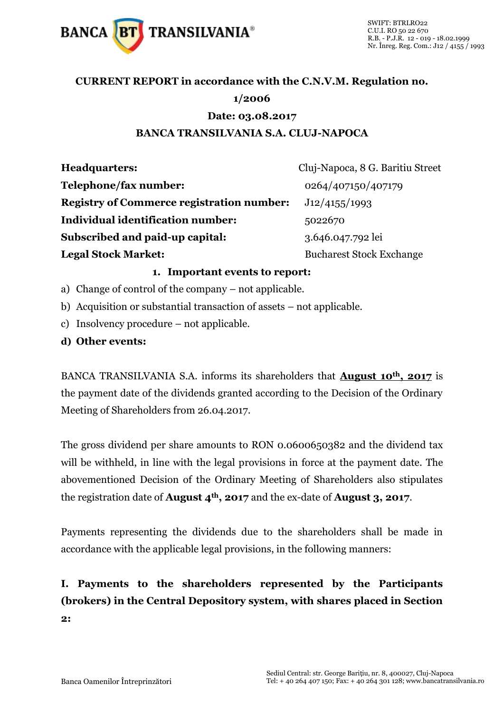

## **CURRENT REPORT in accordance with the C.N.V.M. Regulation no.**

### **1/2006**

#### **Date: 03.08.2017**

### **BANCA TRANSILVANIA S.A. CLUJ-NAPOCA**

| <b>Headquarters:</b>                             | Cluj-Napoca, 8 G. Baritiu Street |
|--------------------------------------------------|----------------------------------|
| Telephone/fax number:                            | 0264/407150/407179               |
| <b>Registry of Commerce registration number:</b> | J12/4155/1993                    |
| Individual identification number:                | 5022670                          |
| Subscribed and paid-up capital:                  | 3.646.047.792 lei                |
| <b>Legal Stock Market:</b>                       | <b>Bucharest Stock Exchange</b>  |

#### **1. Important events to report:**

- a) Change of control of the company not applicable.
- b) Acquisition or substantial transaction of assets not applicable.
- c) Insolvency procedure not applicable.
- **d) Other events:**

BANCA TRANSILVANIA S.A. informs its shareholders that **August 10th, 2017** is the payment date of the dividends granted according to the Decision of the Ordinary Meeting of Shareholders from 26.04.2017.

The gross dividend per share amounts to RON 0.0600650382 and the dividend tax will be withheld, in line with the legal provisions in force at the payment date. The abovementioned Decision of the Ordinary Meeting of Shareholders also stipulates the registration date of **August 4th, 2017** and the ex-date of **August 3, 2017**.

Payments representing the dividends due to the shareholders shall be made in accordance with the applicable legal provisions, in the following manners:

## **I. Payments to the shareholders represented by the Participants (brokers) in the Central Depository system, with shares placed in Section 2:**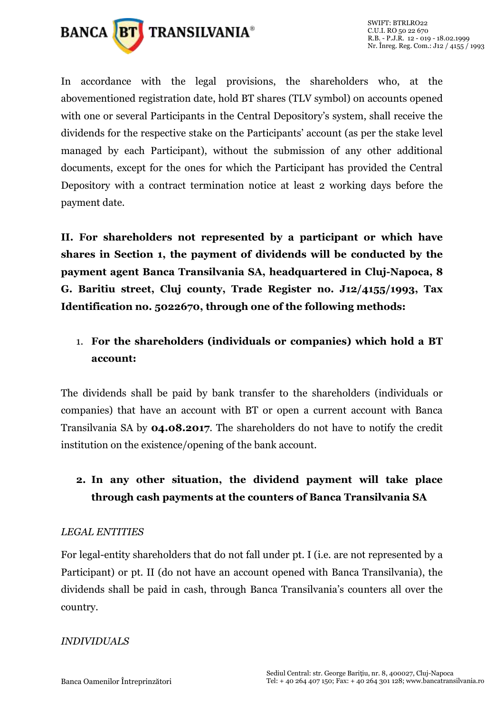

In accordance with the legal provisions, the shareholders who, at the abovementioned registration date, hold BT shares (TLV symbol) on accounts opened with one or several Participants in the Central Depository's system, shall receive the dividends for the respective stake on the Participants' account (as per the stake level managed by each Participant), without the submission of any other additional documents, except for the ones for which the Participant has provided the Central Depository with a contract termination notice at least 2 working days before the payment date.

**II. For shareholders not represented by a participant or which have shares in Section 1, the payment of dividends will be conducted by the payment agent Banca Transilvania SA, headquartered in Cluj-Napoca, 8 G. Baritiu street, Cluj county, Trade Register no. J12/4155/1993, Tax Identification no. 5022670, through one of the following methods:** 

## 1. **For the shareholders (individuals or companies) which hold a BT account:**

The dividends shall be paid by bank transfer to the shareholders (individuals or companies) that have an account with BT or open a current account with Banca Transilvania SA by **04.08.2017**. The shareholders do not have to notify the credit institution on the existence/opening of the bank account.

## **2. In any other situation, the dividend payment will take place through cash payments at the counters of Banca Transilvania SA**

### *LEGAL ENTITIES*

For legal-entity shareholders that do not fall under pt. I (i.e. are not represented by a Participant) or pt. II (do not have an account opened with Banca Transilvania), the dividends shall be paid in cash, through Banca Transilvania's counters all over the country.

### *INDIVIDUALS*